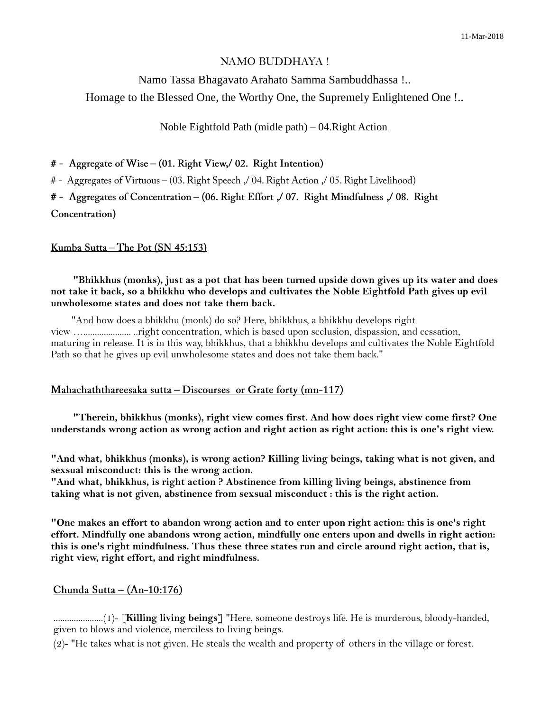# NAMO BUDDHAYA !

Namo Tassa Bhagavato Arahato Samma Sambuddhassa !.. Homage to the Blessed One, the Worthy One, the Supremely Enlightened One !..

### Noble Eightfold Path (midle path) – 04.Right Action

# - Aggregate of Wise – (01. Right View, 02. Right Intention)

# - Aggregates of Virtuous – (03. Right Speech , 04. Right Action , 05. Right Livelihood)

# - Aggregates of Concentration - (06. Right Effort ,/ 07. Right Mindfulness ,/ 08. Right

Concentration)

#### <u>Kumba Sutta – The Pot (SN 45:153)</u>

 **"Bhikkhus (monks), just as a pot that has been turned upside down gives up its water and does not take it back, so a bhikkhu who develops and cultivates the Noble Eightfold Path gives up evil unwholesome states and does not take them back.**

 "And how does a bhikkhu (monk) do so? Here, bhikkhus, a bhikkhu develops right view …..................... ..right concentration, which is based upon seclusion, dispassion, and cessation, maturing in release. It is in this way, bhikkhus, that a bhikkhu develops and cultivates the Noble Eightfold Path so that he gives up evil unwholesome states and does not take them back."

## Mahachaththareesaka sutta - Discourses or Grate forty (mn-117)

 **"Therein, bhikkhus (monks), right view comes first. And how does right view come first? One understands wrong action as wrong action and right action as right action: this is one's right view.**

**"And what, bhikkhus (monks), is wrong action? Killing living beings, taking what is not given, and sexsual misconduct: this is the wrong action.**

**"And what, bhikkhus, is right action ? Abstinence from killing living beings, abstinence from taking what is not given, abstinence from sexsual misconduct : this is the right action.**

**"One makes an effort to abandon wrong action and to enter upon right action: this is one's right effort. Mindfully one abandons wrong action, mindfully one enters upon and dwells in right action: this is one's right mindfulness. Thus these three states run and circle around right action, that is, right view, right effort, and right mindfulness.**

#### Chunda Sutta  $-(An-10:176)$

......................(1)- [**Killing living beings]** "Here, someone destroys life. He is murderous, bloody-handed, given to blows and violence, merciless to living beings.

(2)- "He takes what is not given. He steals the wealth and property of others in the village or forest.